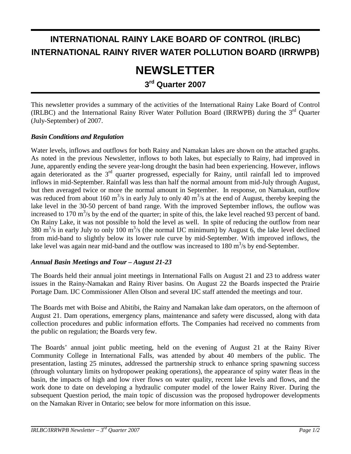# **INTERNATIONAL RAINY LAKE BOARD OF CONTROL (IRLBC) INTERNATIONAL RAINY RIVER WATER POLLUTION BOARD (IRRWPB)**

# **NEWSLETTER**

**3rd Quarter 2007** 

This newsletter provides a summary of the activities of the International Rainy Lake Board of Control (IRLBC) and the International Rainy River Water Pollution Board (IRRWPB) during the 3rd Quarter (July-September) of 2007.

#### *Basin Conditions and Regulation*

Water levels, inflows and outflows for both Rainy and Namakan lakes are shown on the attached graphs. As noted in the previous Newsletter, inflows to both lakes, but especially to Rainy, had improved in June, apparently ending the severe year-long drought the basin had been experiencing. However, inflows again deteriorated as the 3<sup>rd</sup> quarter progressed, especially for Rainy, until rainfall led to improved inflows in mid-September. Rainfall was less than half the normal amount from mid-July through August, but then averaged twice or more the normal amount in September. In response, on Namakan, outflow was reduced from about 160 m<sup>3</sup>/s in early July to only 40 m<sup>3</sup>/s at the end of August, thereby keeping the lake level in the 30-50 percent of band range. With the improved September inflows, the ouflow was increased to 170  $\text{m}^3$ /s by the end of the quarter; in spite of this, the lake level reached 93 percent of band. On Rainy Lake, it was not possible to hold the level as well. In spite of reducing the outflow from near 380 m<sup>3</sup>/s in early July to only 100 m<sup>3</sup>/s (the normal IJC minimum) by August 6, the lake level declined from mid-band to slightly below its lower rule curve by mid-September. With improved inflows, the lake level was again near mid-band and the outflow was increased to 180  $\text{m}^3\text{/s}$  by end-September.

#### *Annual Basin Meetings and Tour – August 21-23*

The Boards held their annual joint meetings in International Falls on August 21 and 23 to address water issues in the Rainy-Namakan and Rainy River basins. On August 22 the Boards inspected the Prairie Portage Dam. IJC Commissioner Allen Olson and several IJC staff attended the meetings and tour.

The Boards met with Boise and Abitibi, the Rainy and Namakan lake dam operators, on the afternoon of August 21. Dam operations, emergency plans, maintenance and safety were discussed, along with data collection procedures and public information efforts. The Companies had received no comments from the public on regulation; the Boards very few.

The Boards' annual joint public meeting, held on the evening of August 21 at the Rainy River Community College in International Falls, was attended by about 40 members of the public. The presentation, lasting 25 minutes, addressed the partnership struck to enhance spring spawning success (through voluntary limits on hydropower peaking operations), the appearance of spiny water fleas in the basin, the impacts of high and low river flows on water quality, recent lake levels and flows, and the work done to date on developing a hydraulic computer model of the lower Rainy River. During the subsequent Question period, the main topic of discussion was the proposed hydropower developments on the Namakan River in Ontario; see below for more information on this issue.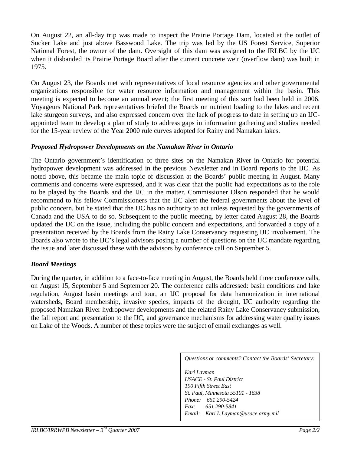On August 22, an all-day trip was made to inspect the Prairie Portage Dam, located at the outlet of Sucker Lake and just above Basswood Lake. The trip was led by the US Forest Service, Superior National Forest, the owner of the dam. Oversight of this dam was assigned to the IRLBC by the IJC when it disbanded its Prairie Portage Board after the current concrete weir (overflow dam) was built in 1975.

On August 23, the Boards met with representatives of local resource agencies and other governmental organizations responsible for water resource information and management within the basin. This meeting is expected to become an annual event; the first meeting of this sort had been held in 2006. Voyageurs National Park representatives briefed the Boards on nutrient loading to the lakes and recent lake sturgeon surveys, and also expressed concern over the lack of progress to date in setting up an IJCappointed team to develop a plan of study to address gaps in information gathering and studies needed for the 15-year review of the Year 2000 rule curves adopted for Rainy and Namakan lakes.

#### *Proposed Hydropower Developments on the Namakan River in Ontario*

The Ontario government's identification of three sites on the Namakan River in Ontario for potential hydropower development was addressed in the previous Newsletter and in Board reports to the IJC. As noted above, this became the main topic of discussion at the Boards' public meeting in August. Many comments and concerns were expressed, and it was clear that the public had expectations as to the role to be played by the Boards and the IJC in the matter. Commissioner Olson responded that he would recommend to his fellow Commissioners that the IJC alert the federal governments about the level of public concern, but he stated that the IJC has no authority to act unless requested by the governments of Canada and the USA to do so. Subsequent to the public meeting, by letter dated August 28, the Boards updated the IJC on the issue, including the public concern and expectations, and forwarded a copy of a presentation received by the Boards from the Rainy Lake Conservancy requesting IJC involvement. The Boards also wrote to the IJC's legal advisors posing a number of questions on the IJC mandate regarding the issue and later discussed these with the advisors by conference call on September 5.

#### *Board Meetings*

During the quarter, in addition to a face-to-face meeting in August, the Boards held three conference calls, on August 15, September 5 and September 20. The conference calls addressed: basin conditions and lake regulation, August basin meetings and tour, an IJC proposal for data harmonization in international watersheds, Board membership, invasive species, impacts of the drought, IJC authority regarding the proposed Namakan River hydropower developments and the related Rainy Lake Conservancy submission, the fall report and presentation to the IJC, and governance mechanisms for addressing water quality issues on Lake of the Woods. A number of these topics were the subject of email exchanges as well.

*Questions or comments? Contact the Boards' Secretary:* 

*Kari Layman USACE - St. Paul District 190 Fifth Street East St. Paul, Minnesota 55101 - 1638 Phone: 651 290-5424 Fax: 651 290-5841 Email: Kari.L.Layman@usace.army.mil*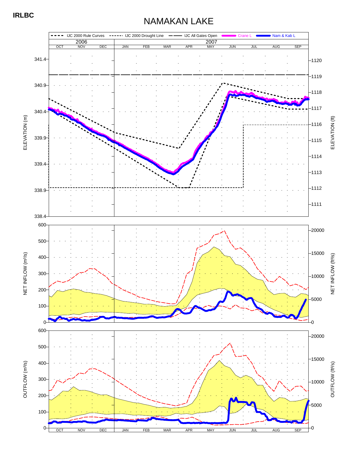### NAMAKAN LAKE